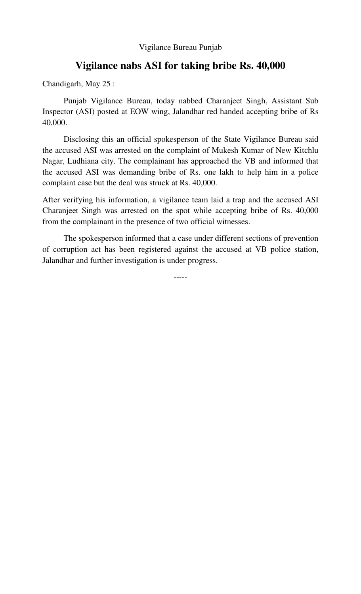## Vigilance Bureau Punjab

## **Vigilance nabs ASI for taking bribe Rs. 40,000**

Chandigarh, May 25 :

Punjab Vigilance Bureau, today nabbed Charanjeet Singh, Assistant Sub Inspector (ASI) posted at EOW wing, Jalandhar red handed accepting bribe of Rs 40,000.

 Disclosing this an official spokesperson of the State Vigilance Bureau said the accused ASI was arrested on the complaint of Mukesh Kumar of New Kitchlu Nagar, Ludhiana city. The complainant has approached the VB and informed that the accused ASI was demanding bribe of Rs. one lakh to help him in a police complaint case but the deal was struck at Rs. 40,000.

After verifying his information, a vigilance team laid a trap and the accused ASI Charanjeet Singh was arrested on the spot while accepting bribe of Rs. 40,000 from the complainant in the presence of two official witnesses.

 The spokesperson informed that a case under different sections of prevention of corruption act has been registered against the accused at VB police station, Jalandhar and further investigation is under progress.

-----